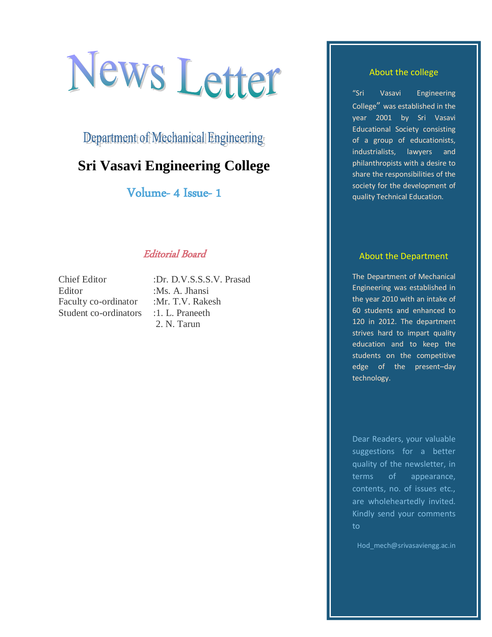# News Letter

Department of Mechanical Engineering

# **Sri Vasavi Engineering College**

Volume- 4 Issue- 1

# Editorial Board

Editor :Ms. A. Jhansi Faculty co-ordinator :Mr. T.V. Rakesh Student co-ordinators : 1. L. Praneeth

Chief Editor :Dr. D.V.S.S.S.V. Prasad 2. N. Tarun

#### About the college

"Sri Vasavi Engineering College" was established in the year 2001 by Sri Vasavi Educational Society consisting of a group of educationists, industrialists, lawyers and philanthropists with a desire to share the responsibilities of the society for the development of quality Technical Education.

#### About the Department

The Department of Mechanical Engineering was established in the year 2010 with an intake of 60 students and enhanced to 120 in 2012. The department strives hard to impart quality education and to keep the students on the competitive edge of the present–day technology.

Dear Readers, your valuable suggestions for a better quality of the newsletter, in terms of appearance, contents, no. of issues etc., are wholeheartedly invited. Kindly send your comments to

Hod\_mech@srivasaviengg.ac.in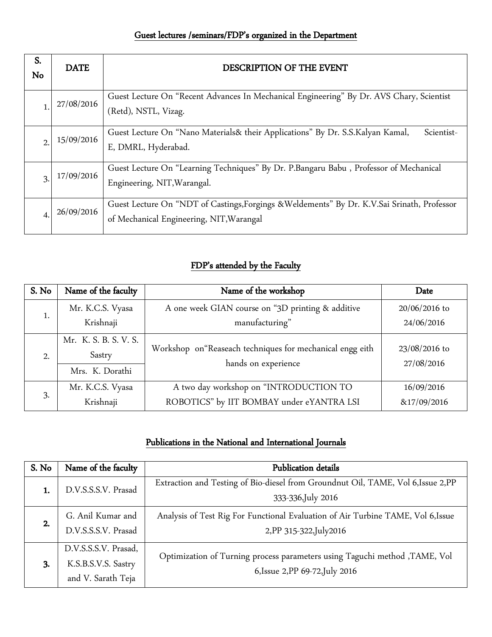# Guest lectures /seminars/FDP's organized in the Department

| S.<br>No       | <b>DATE</b> | DESCRIPTION OF THE EVENT                                                                                                                |  |
|----------------|-------------|-----------------------------------------------------------------------------------------------------------------------------------------|--|
|                | 27/08/2016  | Guest Lecture On "Recent Advances In Mechanical Engineering" By Dr. AVS Chary, Scientist<br>(Retd), NSTL, Vizag.                        |  |
|                | 15/09/2016  | Guest Lecture On "Nano Materials& their Applications" By Dr. S.S.Kalyan Kamal,<br>Scientist-<br>E, DMRL, Hyderabad.                     |  |
| 3              | 17/09/2016  | Guest Lecture On "Learning Techniques" By Dr. P.Bangaru Babu, Professor of Mechanical<br>Engineering, NIT, Warangal.                    |  |
| $\overline{4}$ | 26/09/2016  | Guest Lecture On "NDT of Castings, Forgings & Weldements" By Dr. K.V.Sai Srinath, Professor<br>of Mechanical Engineering, NIT, Warangal |  |

# FDP's attended by the Faculty

| S. No | Name of the faculty                                | Name of the workshop                                                             | Date                        |
|-------|----------------------------------------------------|----------------------------------------------------------------------------------|-----------------------------|
|       | Mr. K.C.S. Vyasa                                   | A one week GIAN course on "3D printing & additive                                | $20/06/2016$ to             |
|       | Krishnaji                                          | manufacturing"                                                                   | 24/06/2016                  |
| 2.    | Mr. K. S. B. S. V. S.<br>Sastry<br>Mrs. K. Dorathi | Workshop on "Reaseach techniques for mechanical engg eith<br>hands on experience | 23/08/2016 to<br>27/08/2016 |
| 3.    | Mr. K.C.S. Vyasa                                   | A two day workshop on "INTRODUCTION TO                                           | 16/09/2016                  |
|       | Krishnaji                                          | ROBOTICS" by IIT BOMBAY under eYANTRA LSI                                        | &17/09/2016                 |

# Publications in the National and International Journals

| S. No | Name of the faculty                                               | Publication details                                                                                            |  |  |
|-------|-------------------------------------------------------------------|----------------------------------------------------------------------------------------------------------------|--|--|
| 1.    | D.V.S.S.S.V. Prasad                                               | Extraction and Testing of Bio-diesel from Groundnut Oil, TAME, Vol 6, Issue 2, PP<br>333-336, July 2016        |  |  |
| 2.    | G. Anil Kumar and<br>D.V.S.S.S.V. Prasad                          | Analysis of Test Rig For Functional Evaluation of Air Turbine TAME, Vol 6, Issue<br>2, PP 315-322, July 2016   |  |  |
| 3.    | D.V.S.S.S.V. Prasad,<br>K.S.B.S.V.S. Sastry<br>and V. Sarath Teja | Optimization of Turning process parameters using Taguchi method , TAME, Vol<br>6, Issue 2, PP 69-72, July 2016 |  |  |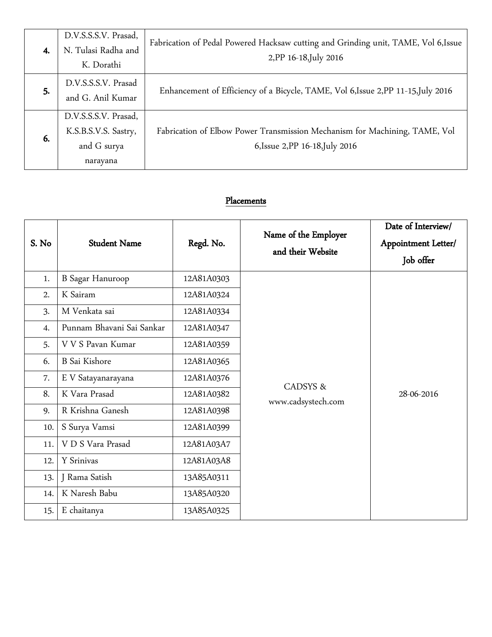| 4. | D.V.S.S.S.V. Prasad,<br>N. Tulasi Radha and<br>K. Dorathi               | Fabrication of Pedal Powered Hacksaw cutting and Grinding unit, TAME, Vol 6,Issue<br>2, PP 16-18, July 2016   |
|----|-------------------------------------------------------------------------|---------------------------------------------------------------------------------------------------------------|
| 5. | D.V.S.S.S.V. Prasad<br>and G. Anil Kumar                                | Enhancement of Efficiency of a Bicycle, TAME, Vol 6, Issue 2, PP 11-15, July 2016                             |
| 6. | D.V.S.S.S.V. Prasad,<br>K.S.B.S.V.S. Sastry,<br>and G surya<br>narayana | Fabrication of Elbow Power Transmission Mechanism for Machining, TAME, Vol<br>6, Issue 2, PP 16-18, July 2016 |

# Placements

| S. No | <b>Student Name</b>       | Regd. No.  | Name of the Employer<br>and their Website | Date of Interview/<br>Appointment Letter/<br>Job offer |
|-------|---------------------------|------------|-------------------------------------------|--------------------------------------------------------|
| 1.    | <b>B</b> Sagar Hanuroop   | 12A81A0303 |                                           |                                                        |
| 2.    | K Sairam                  | 12A81A0324 |                                           |                                                        |
| 3.    | M Venkata sai             | 12A81A0334 |                                           |                                                        |
| 4.    | Punnam Bhavani Sai Sankar | 12A81A0347 |                                           |                                                        |
| 5.    | V V S Pavan Kumar         | 12A81A0359 |                                           |                                                        |
| 6.    | <b>B</b> Sai Kishore      | 12A81A0365 | <b>CADSYS &amp;</b>                       |                                                        |
| 7.    | E V Satayanarayana        | 12A81A0376 |                                           |                                                        |
| 8.    | K Vara Prasad             | 12A81A0382 | www.cadsystech.com                        | 28-06-2016                                             |
| 9.    | R Krishna Ganesh          | 12A81A0398 |                                           |                                                        |
| 10.   | S Surya Vamsi             | 12A81A0399 |                                           |                                                        |
| 11.   | V D S Vara Prasad         | 12A81A03A7 |                                           |                                                        |
| 12.   | Y Srinivas                | 12A81A03A8 |                                           |                                                        |
| 13.   | J Rama Satish             | 13A85A0311 |                                           |                                                        |
| 14.   | K Naresh Babu             | 13A85A0320 |                                           |                                                        |
| 15.   | E chaitanya               | 13A85A0325 |                                           |                                                        |